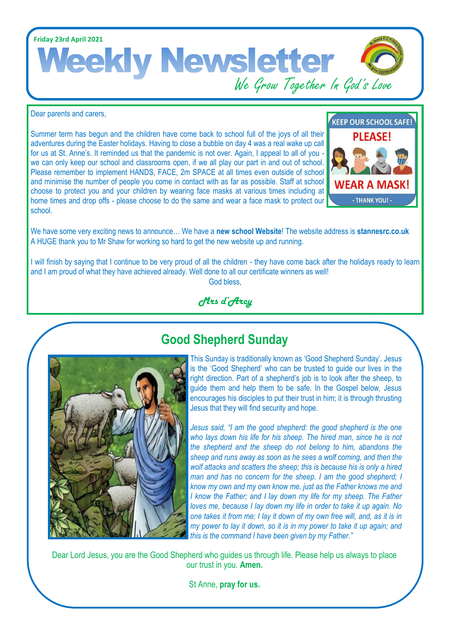**Friday 23rd April 2021** Weekly Newsletter God's Love

Dear parents and carers,

Summer term has begun and the children have come back to school full of the joys of all their adventures during the Easter holidays. Having to close a bubble on day 4 was a real wake up call for us at St. Anne's. It reminded us that the pandemic is not over. Again, I appeal to all of you we can only keep our school and classrooms open, if we all play our part in and out of school. Please remember to implement HANDS, FACE, 2m SPACE at all times even outside of school and minimise the number of people you come in contact with as far as possible. Staff at school choose to protect you and your children by wearing face masks at various times including at home times and drop offs - please choose to do the same and wear a face mask to protect our school.



We have some very exciting news to announce… We have a **new school Website**! The website address is **[stannesrc.co.uk](https://www.stannesrc.co.uk/)**  A HUGE thank you to Mr Shaw for working so hard to get the new website up and running.

I will finish by saying that I continue to be very proud of all the children - they have come back after the holidays ready to learn and I am proud of what they have achieved already. Well done to all our certificate winners as well! God bless,

*Mrs d'Arcy*



## **Good Shepherd Sunday**

This Sunday is traditionally known as 'Good Shepherd Sunday'. Jesus is the 'Good Shepherd' who can be trusted to guide our lives in the right direction. Part of a shepherd's job is to look after the sheep, to guide them and help them to be safe. In the Gospel below, Jesus encourages his disciples to put their trust in him; it is through thrusting Jesus that they will find security and hope.

*Jesus said, "I am the good shepherd: the good shepherd is the one who lays down his life for his sheep. The hired man, since he is not the shepherd and the sheep do not belong to him, abandons the sheep and runs away as soon as he sees a wolf coming, and then the wolf attacks and scatters the sheep; this is because his is only a hired man and has no concern for the sheep. I am the good shepherd; I know my own and my own know me, just as the Father knows me and I know the Father; and I lay down my life for my sheep. The Father loves me, because I lay down my life in order to take it up again. No one takes it from me; I lay it down of my own free will, and, as it is in my power to lay it down, so it is in my power to take it up again; and this is the command I have been given by my Father."*

Dear Lord Jesus, you are the Good Shepherd who guides us through life. Please help us always to place our trust in you. **Amen.**

St Anne, **pray for us.**